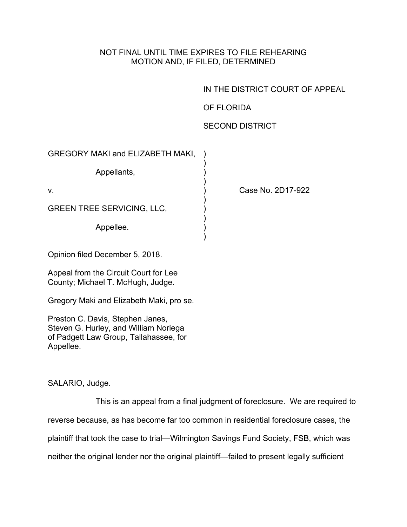## NOT FINAL UNTIL TIME EXPIRES TO FILE REHEARING MOTION AND, IF FILED, DETERMINED

IN THE DISTRICT COURT OF APPEAL

OF FLORIDA

## SECOND DISTRICT

Case No. 2D17-922

Opinion filed December 5, 2018.

Appeal from the Circuit Court for Lee County; Michael T. McHugh, Judge.

Gregory Maki and Elizabeth Maki, pro se.

Preston C. Davis, Stephen Janes, Steven G. Hurley, and William Noriega of Padgett Law Group, Tallahassee, for Appellee.

SALARIO, Judge.

This is an appeal from a final judgment of foreclosure. We are required to reverse because, as has become far too common in residential foreclosure cases, the plaintiff that took the case to trial—Wilmington Savings Fund Society, FSB, which was neither the original lender nor the original plaintiff—failed to present legally sufficient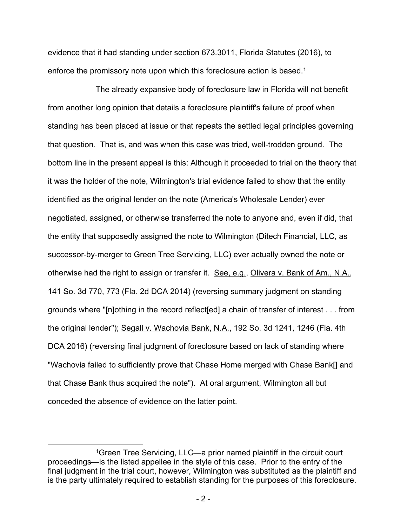evidence that it had standing under section 673.3011, Florida Statutes (2016), to enforce the promissory note upon which this foreclosure action is based.<sup>1</sup>

The already expansive body of foreclosure law in Florida will not benefit from another long opinion that details a foreclosure plaintiff's failure of proof when standing has been placed at issue or that repeats the settled legal principles governing that question. That is, and was when this case was tried, well-trodden ground. The bottom line in the present appeal is this: Although it proceeded to trial on the theory that it was the holder of the note, Wilmington's trial evidence failed to show that the entity identified as the original lender on the note (America's Wholesale Lender) ever negotiated, assigned, or otherwise transferred the note to anyone and, even if did, that the entity that supposedly assigned the note to Wilmington (Ditech Financial, LLC, as successor-by-merger to Green Tree Servicing, LLC) ever actually owned the note or otherwise had the right to assign or transfer it. See, e.g., Olivera v. Bank of Am., N.A., 141 So. 3d 770, 773 (Fla. 2d DCA 2014) (reversing summary judgment on standing grounds where "[n]othing in the record reflect[ed] a chain of transfer of interest . . . from the original lender"); Segall v. Wachovia Bank, N.A., 192 So. 3d 1241, 1246 (Fla. 4th DCA 2016) (reversing final judgment of foreclosure based on lack of standing where "Wachovia failed to sufficiently prove that Chase Home merged with Chase Bank[] and that Chase Bank thus acquired the note"). At oral argument, Wilmington all but conceded the absence of evidence on the latter point.

<sup>1</sup>Green Tree Servicing, LLC—a prior named plaintiff in the circuit court proceedings—is the listed appellee in the style of this case. Prior to the entry of the final judgment in the trial court, however, Wilmington was substituted as the plaintiff and is the party ultimately required to establish standing for the purposes of this foreclosure.